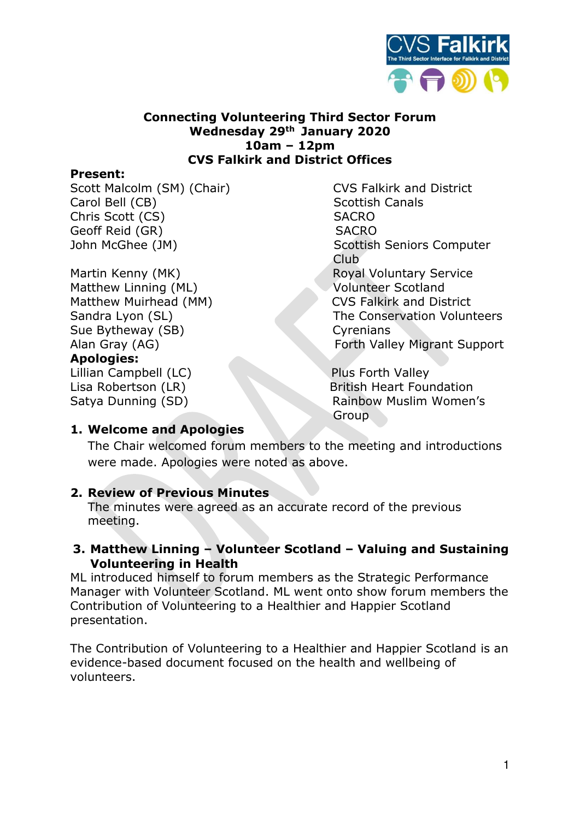

#### **Connecting Volunteering Third Sector Forum Wednesday 29th January 2020 10am – 12pm CVS Falkirk and District Offices**

#### **Present:**

Scott Malcolm (SM) (Chair) CVS Falkirk and District Carol Bell (CB) Scottish Canals Chris Scott (CS) SACRO Geoff Reid (GR) SACRO

Matthew Linning (ML) Volunteer Scotland Matthew Muirhead (MM) CVS Falkirk and District Sue Bytheway (SB) Cyrenians Alan Gray (AG) **Forth Valley Migrant Support Apologies:** Lillian Campbell (LC) Plus Forth Valley

John McGhee (JM) Scottish Seniors Computer **Club Club** Martin Kenny (MK) Royal Voluntary Service Sandra Lyon (SL) The Conservation Volunteers

Lisa Robertson (LR) British Heart Foundation Satya Dunning (SD) Rainbow Muslim Women's **Group** 

### **1. Welcome and Apologies**

The Chair welcomed forum members to the meeting and introductions were made. Apologies were noted as above.

### **2. Review of Previous Minutes**

The minutes were agreed as an accurate record of the previous meeting.

### **3. Matthew Linning – Volunteer Scotland – Valuing and Sustaining Volunteering in Health**

ML introduced himself to forum members as the Strategic Performance Manager with Volunteer Scotland. ML went onto show forum members the Contribution of Volunteering to a Healthier and Happier Scotland presentation.

The Contribution of Volunteering to a Healthier and Happier Scotland is an evidence-based document focused on the health and wellbeing of volunteers.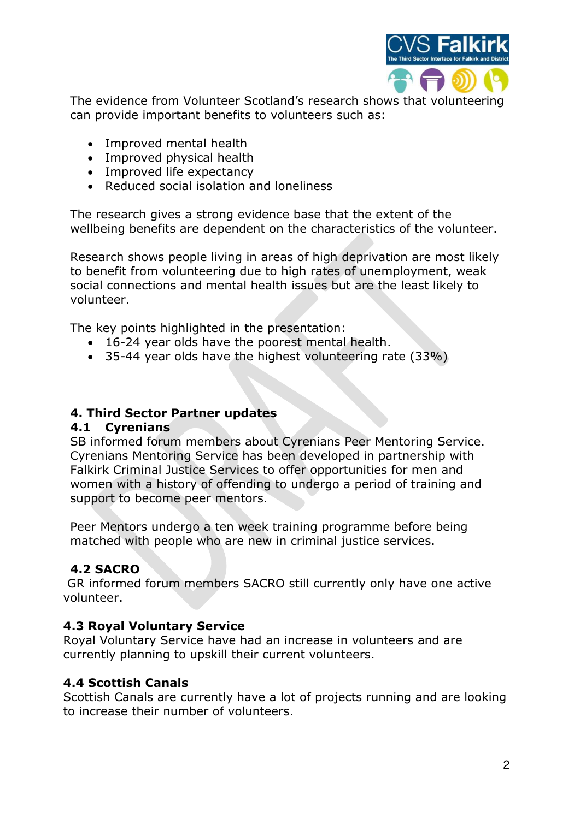

The evidence from Volunteer Scotland's research shows that volunteering can provide important benefits to volunteers such as:

- Improved mental health
- Improved physical health
- Improved life expectancy
- Reduced social isolation and loneliness

The research gives a strong evidence base that the extent of the wellbeing benefits are dependent on the characteristics of the volunteer.

Research shows people living in areas of high deprivation are most likely to benefit from volunteering due to high rates of unemployment, weak social connections and mental health issues but are the least likely to volunteer.

The key points highlighted in the presentation:

- 16-24 year olds have the poorest mental health.
- 35-44 year olds have the highest volunteering rate (33%)

### **4. Third Sector Partner updates**

### **4.1 Cyrenians**

SB informed forum members about Cyrenians Peer Mentoring Service. Cyrenians Mentoring Service has been developed in partnership with Falkirk Criminal Justice Services to offer opportunities for men and women with a history of offending to undergo a period of training and support to become peer mentors.

Peer Mentors undergo a ten week training programme before being matched with people who are new in criminal justice services.

# **4.2 SACRO**

 GR informed forum members SACRO still currently only have one active volunteer.

## **4.3 Royal Voluntary Service**

Royal Voluntary Service have had an increase in volunteers and are currently planning to upskill their current volunteers.

### **4.4 Scottish Canals**

Scottish Canals are currently have a lot of projects running and are looking to increase their number of volunteers.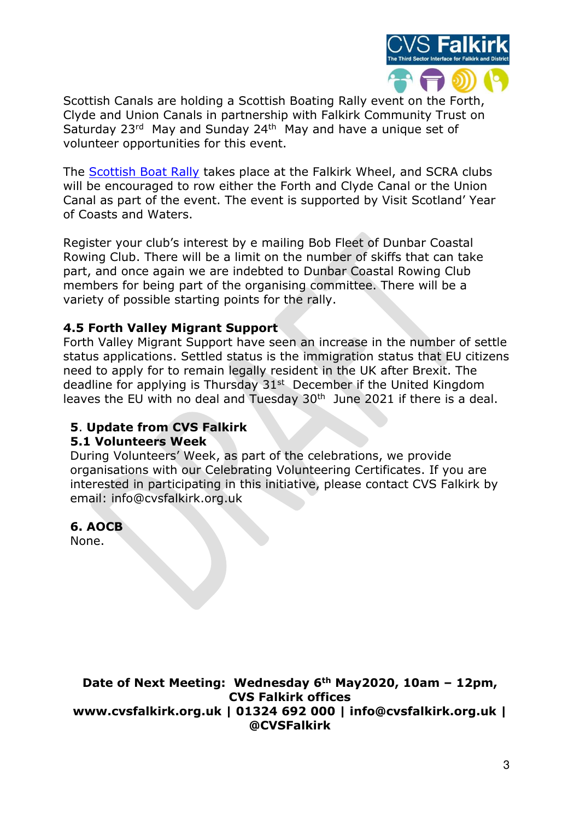

Scottish Canals are holding a Scottish Boating Rally event on the [Forth,](https://www.scottishcanals.co.uk/heritage/historic-collection/forth-and-clyde-port-dundas/)  [Clyde](https://www.scottishcanals.co.uk/heritage/historic-collection/forth-and-clyde-port-dundas/) and [Union C](https://www.scottishcanals.co.uk/heritage/historic-collection/union-canal-terminal-basin/)anals in partnership with Falkirk Community Trust on Saturday 23<sup>rd</sup> May and Sunday 24<sup>th</sup> May and have a unique set of volunteer opportunities for this event.

The **Scottish Boat Rally** takes place at the Falkirk Wheel, and SCRA clubs will be encouraged to row either the Forth and Clyde Canal or the Union Canal as part of the event. The event is supported by Visit Scotland' Year of Coasts and Waters.

Register your club's interest by e mailing Bob Fleet of Dunbar Coastal Rowing Club. There will be a limit on the number of skiffs that can take part, and once again we are indebted to Dunbar Coastal Rowing Club members for being part of the organising committee. There will be a variety of possible starting points for the rally.

### **4.5 Forth Valley Migrant Support**

Forth Valley Migrant Support have seen an increase in the number of settle status applications. Settled status is the immigration status that EU citizens need to apply for to remain legally resident in the UK after Brexit. The deadline for applying is Thursday  $31<sup>st</sup>$  December if the United Kingdom leaves the EU with no deal and Tuesday  $30<sup>th</sup>$  June 2021 if there is a deal.

# **5**. **Update from CVS Falkirk**

### **5.1 Volunteers Week**

During Volunteers' Week, as part of the celebrations, we provide organisations with our Celebrating Volunteering Certificates. If you are interested in participating in this initiative, please contact CVS Falkirk by email: info@cvsfalkirk.org.uk

## **6. AOCB**

None.

**Date of Next Meeting: Wednesday 6th May2020, 10am – 12pm, CVS Falkirk offices www.cvsfalkirk.org.uk | 01324 692 000 | info@cvsfalkirk.org.uk | @CVSFalkirk**